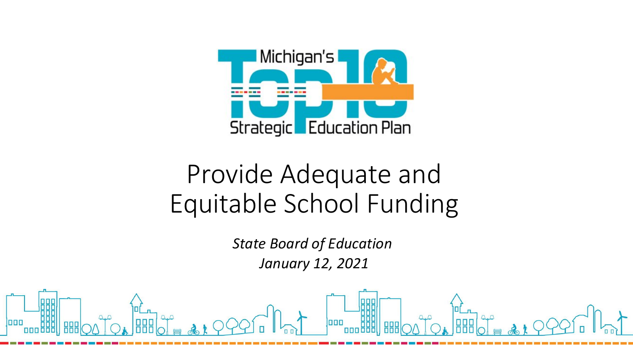

### Provide Adequate and Equitable School Funding

 *State Board of Education January 12, 2021*

--------------------------------------------------------------------------------

laaa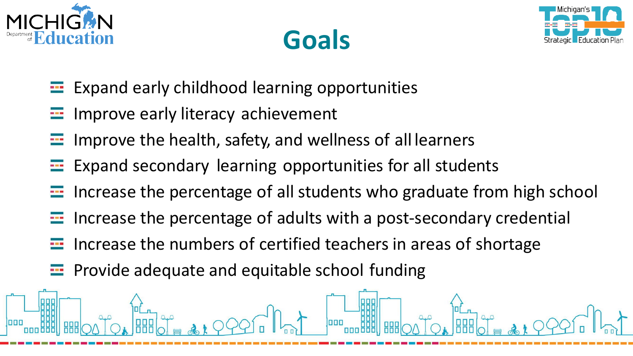





- Expand early childhood learning opportunities  $\sim$
- Improve early literacy achievement  $\frac{1}{2}$
- Improve the health, safety, and wellness of all learners **STA**
- Expand secondary learning opportunities for all students  $\frac{1}{2}$
- Increase the percentage of all students who graduate from high school  $\frac{1}{2}$
- Increase the percentage of adults with a post-secondary credential  $\frac{1}{2}$
- Increase the numbers of certified teachers in areas of shortage  $\frac{1}{2}$
- Provide adequate and equitable school funding  $\frac{1}{2}$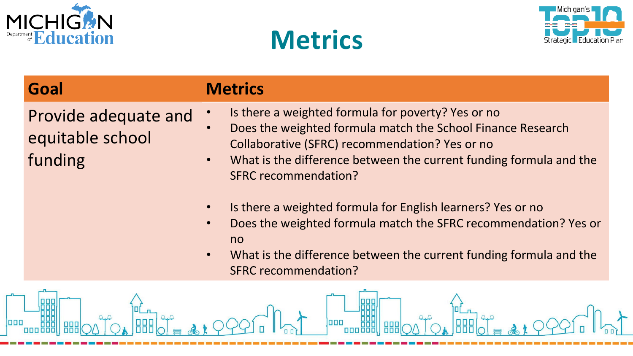





#### Goal

#### **Metrics**

Provide adequate and equitable school funding

Is there a weighted formula for poverty? Yes or no

000

- Does the weighted formula match the School Finance Research Collaborative (SFRC) recommendation? Yes or no
- What is the difference between the current funding formula and the  $\bullet$ **SFRC recommendation?**
- Is there a weighted formula for English learners? Yes or no  $\bullet$
- Does the weighted formula match the SFRC recommendation? Yes or no
- What is the difference between the current funding formula and the **SFRC recommendation?**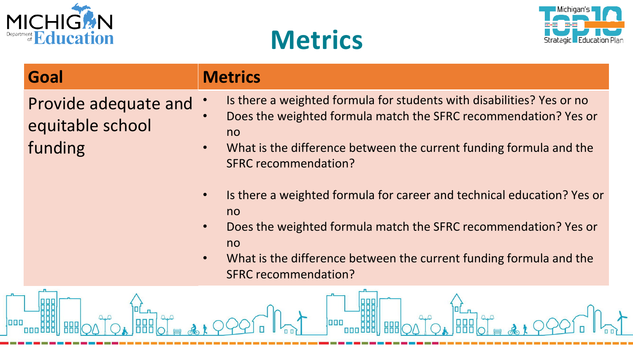





| Goal                                                | <b>Metrics</b>                                                                                                                                                                                                                                                                                                                                                                                                                                                                                                                                           |
|-----------------------------------------------------|----------------------------------------------------------------------------------------------------------------------------------------------------------------------------------------------------------------------------------------------------------------------------------------------------------------------------------------------------------------------------------------------------------------------------------------------------------------------------------------------------------------------------------------------------------|
| Provide adequate and<br>equitable school<br>funding | Is there a weighted formula for students with disabilities? Yes or no<br>Does the weighted formula match the SFRC recommendation? Yes or<br>no<br>What is the difference between the current funding formula and the<br><b>SFRC recommendation?</b><br>Is there a weighted formula for career and technical education? Yes or<br>$\bullet$<br>no<br>Does the weighted formula match the SFRC recommendation? Yes or<br>$\bullet$<br>no<br>What is the difference between the current funding formula and the<br>$\bullet$<br><b>SFRC recommendation?</b> |
|                                                     | 000                                                                                                                                                                                                                                                                                                                                                                                                                                                                                                                                                      |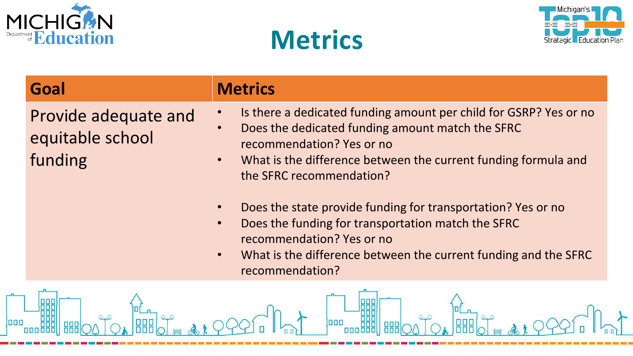

888

laaa

0

**ABB** 

 $\Delta$ .  $\Delta$ 

 $\Delta, \Delta$ 





| Goal                                                | <b>Metrics</b>                                                                                                                                                                                                                                                                                                                                                                                                                                                                                   |
|-----------------------------------------------------|--------------------------------------------------------------------------------------------------------------------------------------------------------------------------------------------------------------------------------------------------------------------------------------------------------------------------------------------------------------------------------------------------------------------------------------------------------------------------------------------------|
| Provide adequate and<br>equitable school<br>funding | Is there a dedicated funding amount per child for GSRP? Yes or no<br>Does the dedicated funding amount match the SFRC<br>recommendation? Yes or no<br>What is the difference between the current funding formula and<br>$\bullet$<br>the SFRC recommendation?<br>Does the state provide funding for transportation? Yes or no<br>Does the funding for transportation match the SFRC<br>recommendation? Yes or no<br>What is the difference between the current funding and the SFRC<br>$\bullet$ |
|                                                     | recommendation?                                                                                                                                                                                                                                                                                                                                                                                                                                                                                  |

**ooo** 

`<br>|abb

 $4<sup>0</sup>$ 

**HHO** 

 $\Delta, \Delta$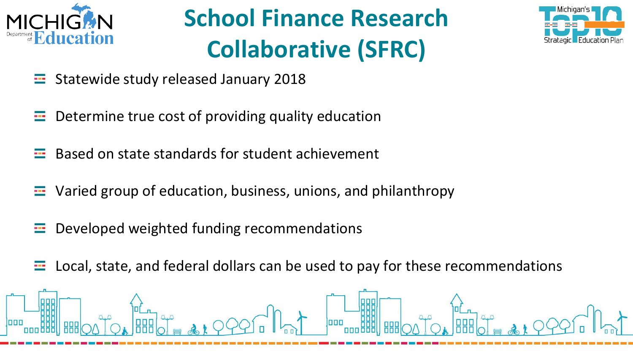

### **School Finance Research Collaborative (SFRC)**



- Statewide study released January 2018 **SER**
- Determine true cost of providing quality education  $\frac{1}{2}$
- Based on state standards for student achievement --
- Varied group of education, business, unions, and philanthropy  $\frac{1}{2}$
- Developed weighted funding recommendations **SER**
- Local, state, and federal dollars can be used to pay for these recommendations ÷

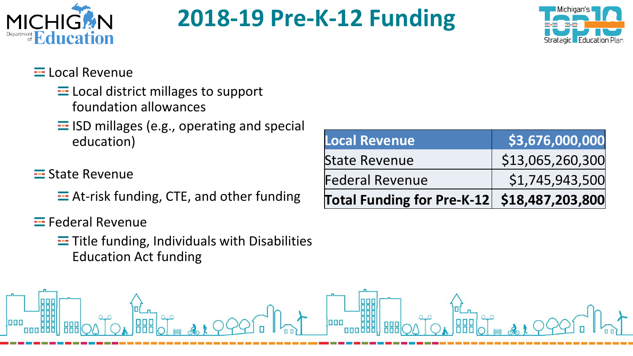

#### **2018-19 Pre-K-12 Funding**



#### $\equiv$  Local Revenue

- $\equiv$  Local district millages to support foundation allowances
- $\equiv$  ISD millages (e.g., operating and special education)

#### **E** State Revenue

 $\equiv$  At-risk funding, CTE, and other funding

#### $\equiv$  Federal Revenue

 $\equiv$  Title funding, Individuals with Disabilities **Education Act funding** 

| Local Revenue                               | \$3,676,000,000  |
|---------------------------------------------|------------------|
| <b>State Revenue</b>                        | \$13,065,260,300 |
| <b>Federal Revenue</b>                      | \$1,745,943,500  |
| Total Funding for Pre-K-12 \$18,487,203,800 |                  |

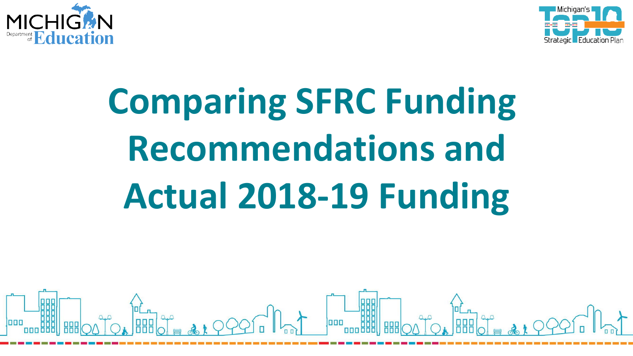



# **Comparing SFRC Funding Recommendations and** Actual 2018-19 Funding

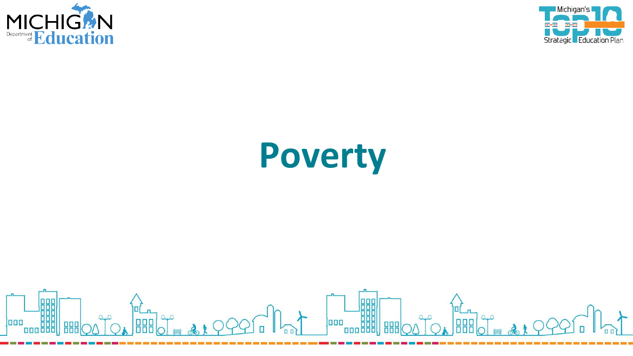



## Poverty

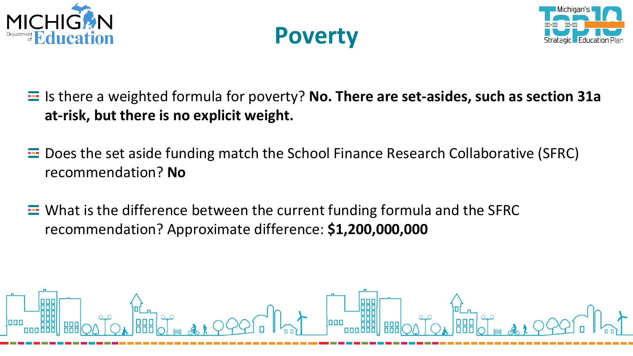





- $\equiv$  Is there a weighted formula for poverty? No. There are set-asides, such as section 31a at-risk, but there is no explicit weight.
- **E.** Does the set aside funding match the School Finance Research Collaborative (SFRC) recommendation? No
- $\equiv$  What is the difference between the current funding formula and the SFRC recommendation? Approximate difference: \$1,200,000,000

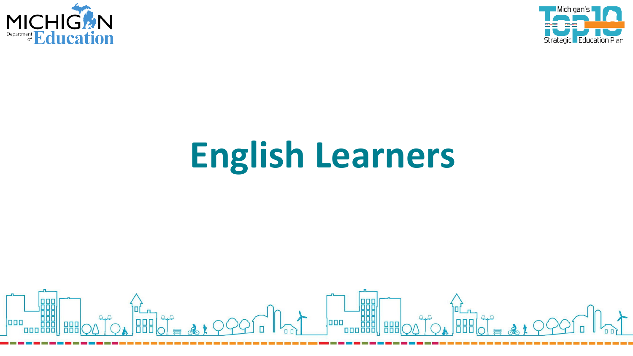



## **English Learners**

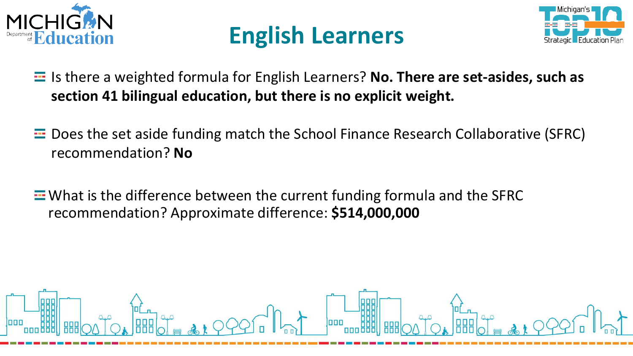





- $\equiv$  Is there a weighted formula for English Learners? No. There are set-asides, such as section 41 bilingual education, but there is no explicit weight.
- $\equiv$  Does the set aside funding match the School Finance Research Collaborative (SFRC) recommendation? No
- $\equiv$  What is the difference between the current funding formula and the SFRC recommendation? Approximate difference: \$514,000,000

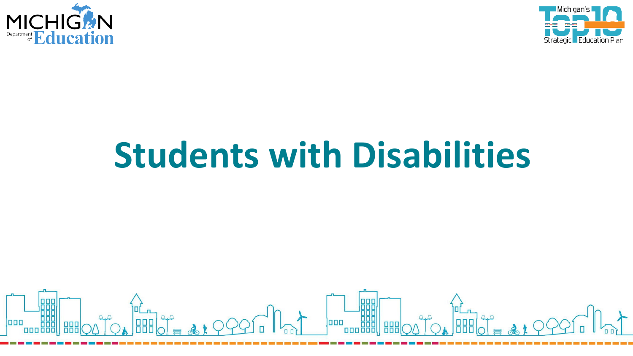



## **Students with Disabilities**

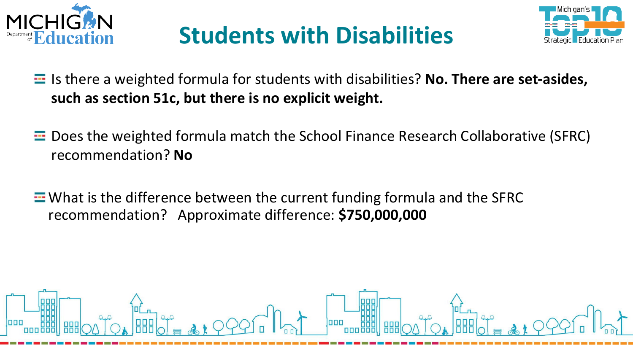

### **Students with Disabilities**



- $\equiv$  Is there a weighted formula for students with disabilities? No. There are set-asides, such as section 51c, but there is no explicit weight.
- **E.** Does the weighted formula match the School Finance Research Collaborative (SFRC) recommendation? No
- $\equiv$  What is the difference between the current funding formula and the SFRC recommendation? Approximate difference: \$750,000,000

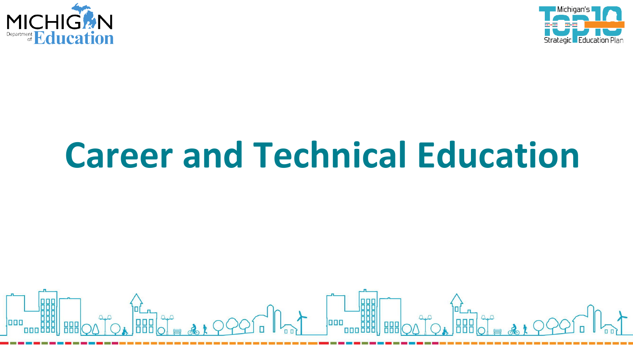



## **Career and Technical Education**

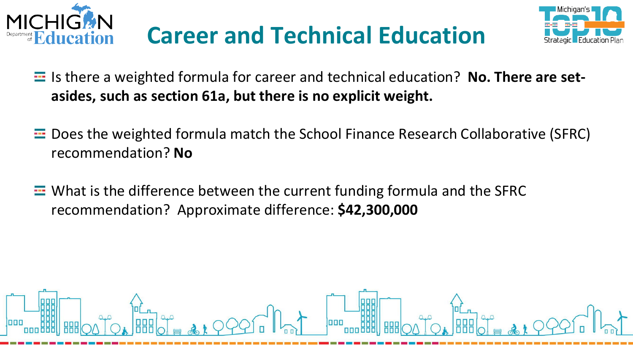





- E Is there a weighted formula for career and technical education? No. There are setasides, such as section 61a, but there is no explicit weight.
- $\equiv$  Does the weighted formula match the School Finance Research Collaborative (SFRC) recommendation? No
- $\equiv$  What is the difference between the current funding formula and the SFRC recommendation? Approximate difference: \$42,300,000

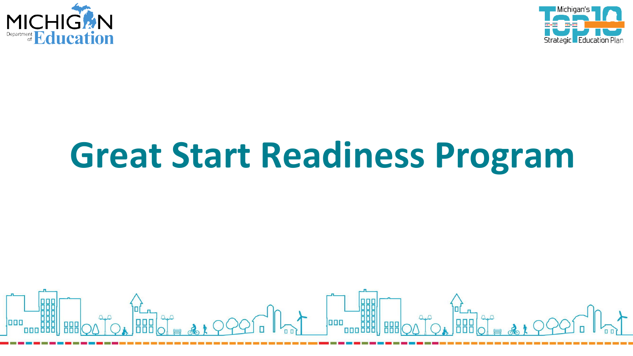



## **Great Start Readiness Program**

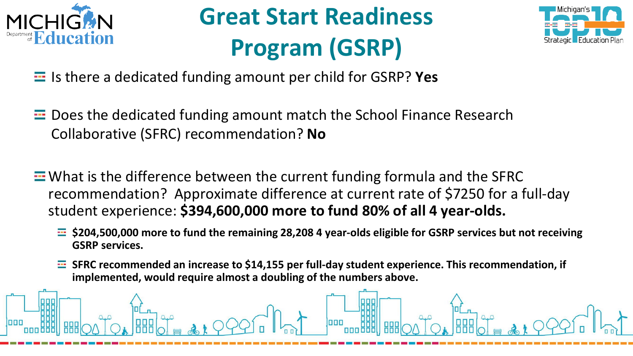

### **Great Start Readiness Program (GSRP)**



- Is there a dedicated funding amount per child for GSRP? Yes
- $\equiv$  Does the dedicated funding amount match the School Finance Research Collaborative (SFRC) recommendation? No
- $\equiv$  What is the difference between the current funding formula and the SFRC recommendation? Approximate difference at current rate of \$7250 for a full-day student experience: \$394,600,000 more to fund 80% of all 4 year-olds.
	- $\equiv$  \$204,500,000 more to fund the remaining 28,208 4 year-olds eligible for GSRP services but not receiving **GSRP services.**
	- $\equiv$  SFRC recommended an increase to \$14,155 per full-day student experience. This recommendation, if implemented, would require almost a doubling of the numbers above.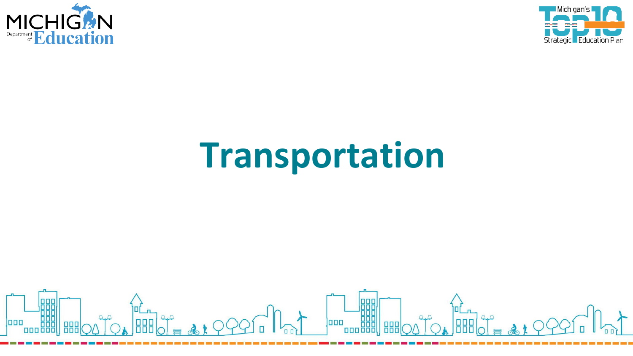



## Transportation

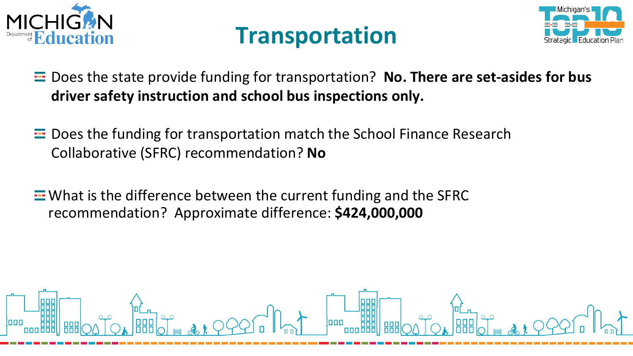





- $\equiv$  Does the state provide funding for transportation? No. There are set-asides for bus driver safety instruction and school bus inspections only.
- $\equiv$  Does the funding for transportation match the School Finance Research Collaborative (SFRC) recommendation? No
- **E** What is the difference between the current funding and the SFRC recommendation? Approximate difference: \$424,000,000

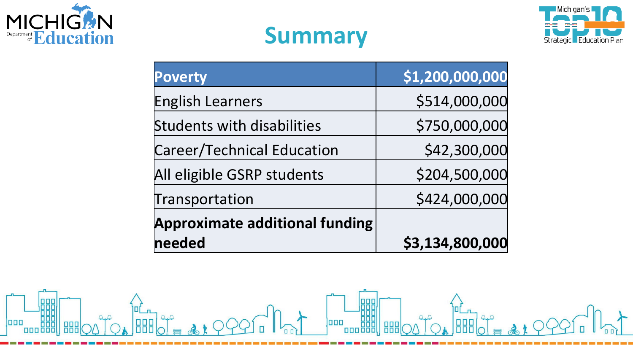





| <b>Poverty</b>                        | \$1,200,000,000 |
|---------------------------------------|-----------------|
| <b>English Learners</b>               | \$514,000,000   |
| <b>Students with disabilities</b>     | \$750,000,000   |
| <b>Career/Technical Education</b>     | \$42,300,000    |
| All eligible GSRP students            | \$204,500,000   |
| Transportation                        | \$424,000,000   |
| <b>Approximate additional funding</b> |                 |
| needed                                | \$3,134,800,000 |

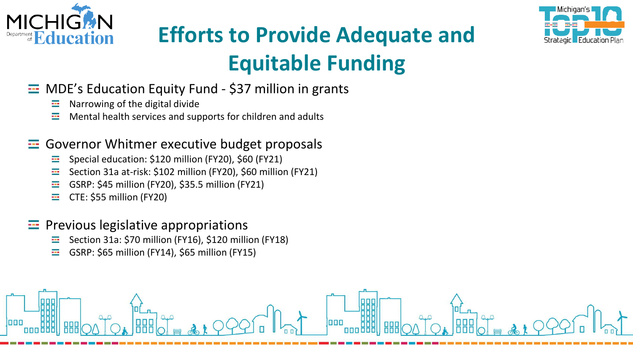



### **Efforts to Provide Adequate and Equitable Funding**

#### **E** MDE's Education Equity Fund - \$37 million in grants

- Narrowing of the digital divide ш.
- <u>да</u> Mental health services and supports for children and adults

#### ---- Governor Whitmer executive budget proposals

- н. Special education: \$120 million (FY20), \$60 (FY21)
- ÷ Section 31a at-risk: \$102 million (FY20), \$60 million (FY21)
- ÷ GSRP: \$45 million (FY20), \$35.5 million (FY21)
- ц. CTE: \$55 million (FY20)

#### $\equiv$  Previous legislative appropriations

- Section 31a: \$70 million (FY16), \$120 million (FY18) m
- ц. GSRP: \$65 million (FY14), \$65 million (FY15)